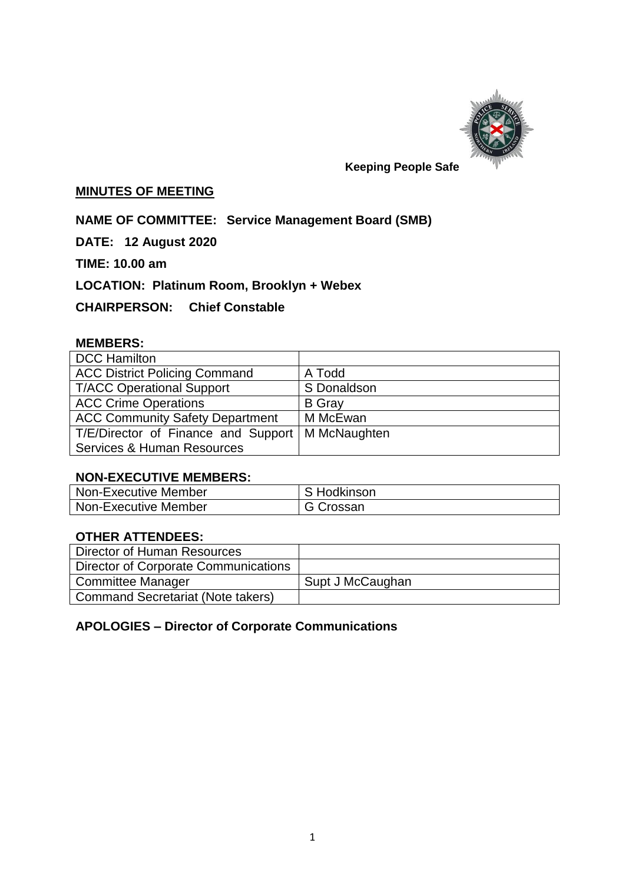

#### **Keeping People Safe**

# **MINUTES OF MEETING**

**NAME OF COMMITTEE: Service Management Board (SMB)**

**DATE: 12 August 2020**

**TIME: 10.00 am**

**LOCATION: Platinum Room, Brooklyn + Webex**

**CHAIRPERSON: Chief Constable** 

#### **MEMBERS:**

| <b>DCC Hamilton</b>                    |               |
|----------------------------------------|---------------|
| <b>ACC District Policing Command</b>   | A Todd        |
| <b>T/ACC Operational Support</b>       | S Donaldson   |
| <b>ACC Crime Operations</b>            | <b>B</b> Gray |
| <b>ACC Community Safety Department</b> | M McEwan      |
| T/E/Director of Finance and Support    | M McNaughten  |
| <b>Services &amp; Human Resources</b>  |               |

### **NON-EXECUTIVE MEMBERS:**

| Non-Executive Member | S Hodkinson |
|----------------------|-------------|
| Non-Executive Member | G Crossan   |

## **OTHER ATTENDEES:**

| Director of Human Resources              |                  |
|------------------------------------------|------------------|
| Director of Corporate Communications     |                  |
| <b>Committee Manager</b>                 | Supt J McCaughan |
| <b>Command Secretariat (Note takers)</b> |                  |

#### **APOLOGIES – Director of Corporate Communications**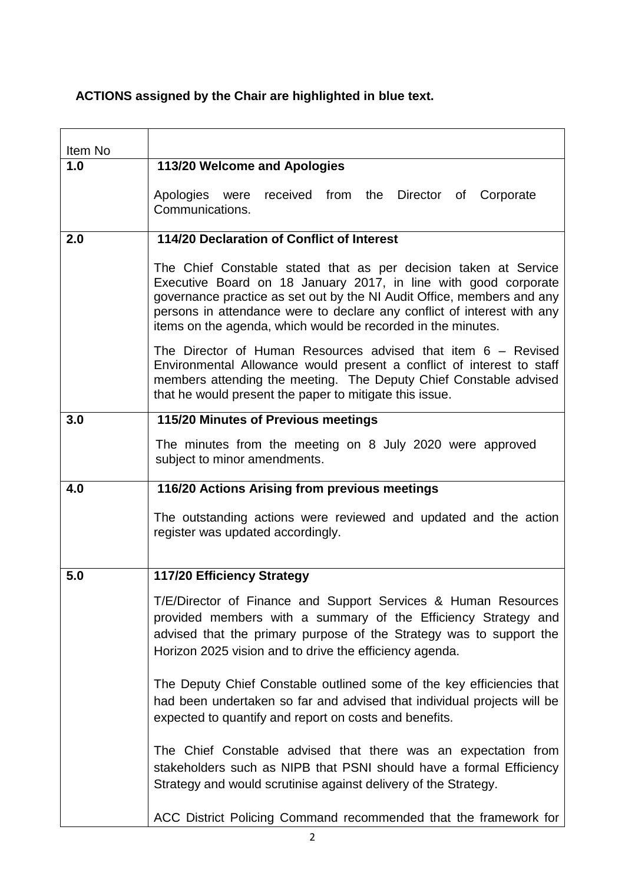# **ACTIONS assigned by the Chair are highlighted in blue text.**

| Item No |                                                                                                                                                                                                                                                                                                                                                          |
|---------|----------------------------------------------------------------------------------------------------------------------------------------------------------------------------------------------------------------------------------------------------------------------------------------------------------------------------------------------------------|
| 1.0     | 113/20 Welcome and Apologies                                                                                                                                                                                                                                                                                                                             |
|         | Apologies were received from the Director of Corporate<br>Communications.                                                                                                                                                                                                                                                                                |
| 2.0     | 114/20 Declaration of Conflict of Interest                                                                                                                                                                                                                                                                                                               |
|         | The Chief Constable stated that as per decision taken at Service<br>Executive Board on 18 January 2017, in line with good corporate<br>governance practice as set out by the NI Audit Office, members and any<br>persons in attendance were to declare any conflict of interest with any<br>items on the agenda, which would be recorded in the minutes. |
|         | The Director of Human Resources advised that item $6 -$ Revised<br>Environmental Allowance would present a conflict of interest to staff<br>members attending the meeting. The Deputy Chief Constable advised<br>that he would present the paper to mitigate this issue.                                                                                 |
| 3.0     | 115/20 Minutes of Previous meetings                                                                                                                                                                                                                                                                                                                      |
|         | The minutes from the meeting on 8 July 2020 were approved<br>subject to minor amendments.                                                                                                                                                                                                                                                                |
| 4.0     | 116/20 Actions Arising from previous meetings                                                                                                                                                                                                                                                                                                            |
|         | The outstanding actions were reviewed and updated and the action<br>register was updated accordingly.                                                                                                                                                                                                                                                    |
| 5.0     | 117/20 Efficiency Strategy                                                                                                                                                                                                                                                                                                                               |
|         | T/E/Director of Finance and Support Services & Human Resources<br>provided members with a summary of the Efficiency Strategy and<br>advised that the primary purpose of the Strategy was to support the<br>Horizon 2025 vision and to drive the efficiency agenda.                                                                                       |
|         | The Deputy Chief Constable outlined some of the key efficiencies that<br>had been undertaken so far and advised that individual projects will be<br>expected to quantify and report on costs and benefits.                                                                                                                                               |
|         | The Chief Constable advised that there was an expectation from<br>stakeholders such as NIPB that PSNI should have a formal Efficiency<br>Strategy and would scrutinise against delivery of the Strategy.                                                                                                                                                 |
|         |                                                                                                                                                                                                                                                                                                                                                          |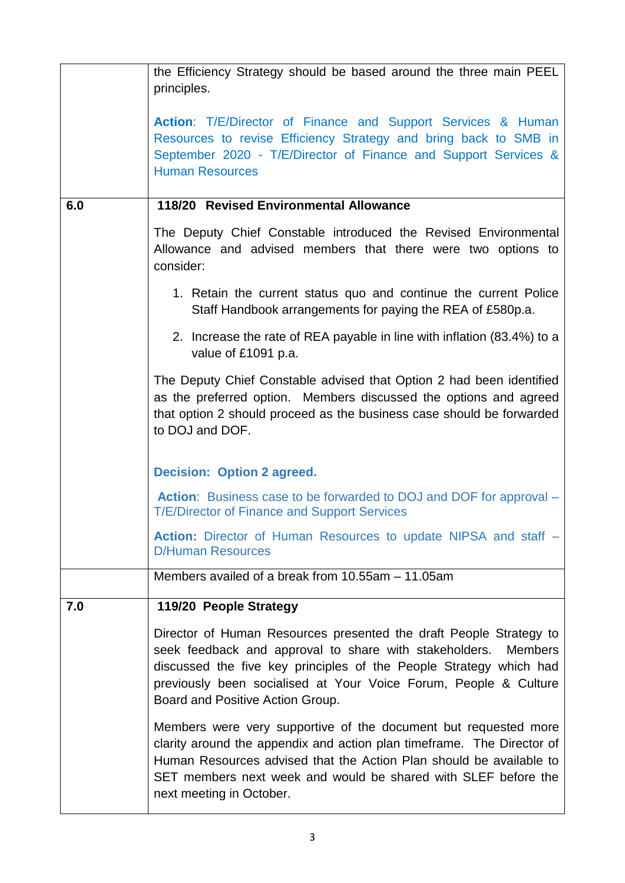|     | the Efficiency Strategy should be based around the three main PEEL  <br>principles.                                                                                                                                                                                                                                          |
|-----|------------------------------------------------------------------------------------------------------------------------------------------------------------------------------------------------------------------------------------------------------------------------------------------------------------------------------|
|     | Action: T/E/Director of Finance and Support Services & Human<br>Resources to revise Efficiency Strategy and bring back to SMB in<br>September 2020 - T/E/Director of Finance and Support Services &<br><b>Human Resources</b>                                                                                                |
| 6.0 | 118/20 Revised Environmental Allowance                                                                                                                                                                                                                                                                                       |
|     | The Deputy Chief Constable introduced the Revised Environmental<br>Allowance and advised members that there were two options to<br>consider:                                                                                                                                                                                 |
|     | 1. Retain the current status quo and continue the current Police<br>Staff Handbook arrangements for paying the REA of £580p.a.                                                                                                                                                                                               |
|     | 2. Increase the rate of REA payable in line with inflation (83.4%) to a<br>value of £1091 p.a.                                                                                                                                                                                                                               |
|     | The Deputy Chief Constable advised that Option 2 had been identified<br>as the preferred option. Members discussed the options and agreed<br>that option 2 should proceed as the business case should be forwarded<br>to DOJ and DOF.                                                                                        |
|     | <b>Decision: Option 2 agreed.</b>                                                                                                                                                                                                                                                                                            |
|     | <b>Action:</b> Business case to be forwarded to DOJ and DOF for approval –<br><b>T/E/Director of Finance and Support Services</b>                                                                                                                                                                                            |
|     | Action: Director of Human Resources to update NIPSA and staff -<br><b>D/Human Resources</b>                                                                                                                                                                                                                                  |
|     | Members availed of a break from 10.55am - 11.05am                                                                                                                                                                                                                                                                            |
| 7.0 | 119/20 People Strategy                                                                                                                                                                                                                                                                                                       |
|     | Director of Human Resources presented the draft People Strategy to<br>seek feedback and approval to share with stakeholders.<br><b>Members</b><br>discussed the five key principles of the People Strategy which had<br>previously been socialised at Your Voice Forum, People & Culture<br>Board and Positive Action Group. |
|     | Members were very supportive of the document but requested more<br>clarity around the appendix and action plan timeframe. The Director of<br>Human Resources advised that the Action Plan should be available to<br>SET members next week and would be shared with SLEF before the<br>next meeting in October.               |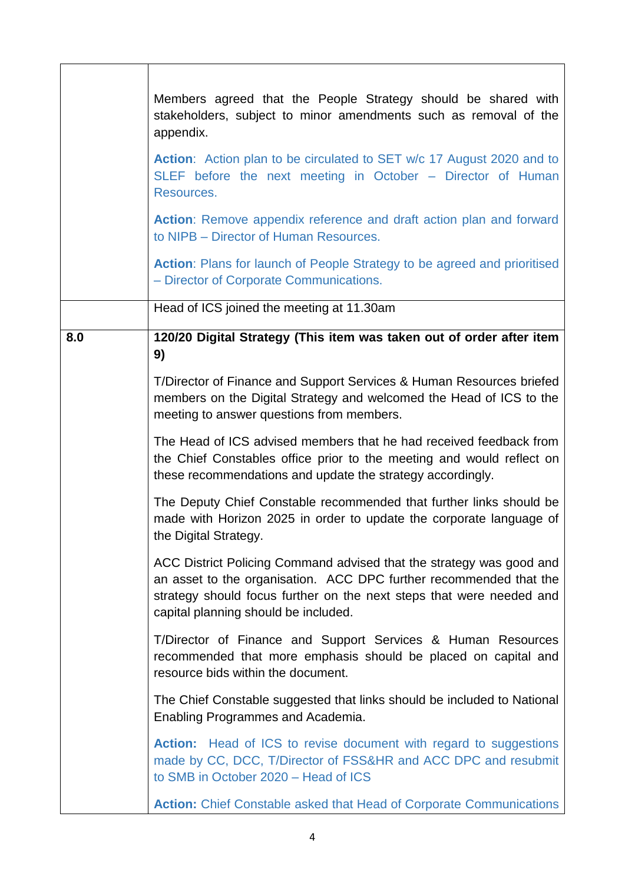|     | Members agreed that the People Strategy should be shared with<br>stakeholders, subject to minor amendments such as removal of the<br>appendix.<br><b>Action:</b> Action plan to be circulated to SET w/c 17 August 2020 and to<br>SLEF before the next meeting in October - Director of Human<br>Resources.<br>Action: Remove appendix reference and draft action plan and forward<br>to NIPB - Director of Human Resources.<br>Action: Plans for launch of People Strategy to be agreed and prioritised<br>- Director of Corporate Communications. |
|-----|-----------------------------------------------------------------------------------------------------------------------------------------------------------------------------------------------------------------------------------------------------------------------------------------------------------------------------------------------------------------------------------------------------------------------------------------------------------------------------------------------------------------------------------------------------|
|     | Head of ICS joined the meeting at 11.30am                                                                                                                                                                                                                                                                                                                                                                                                                                                                                                           |
| 8.0 | 120/20 Digital Strategy (This item was taken out of order after item<br>9)                                                                                                                                                                                                                                                                                                                                                                                                                                                                          |
|     | T/Director of Finance and Support Services & Human Resources briefed<br>members on the Digital Strategy and welcomed the Head of ICS to the<br>meeting to answer questions from members.                                                                                                                                                                                                                                                                                                                                                            |
|     | The Head of ICS advised members that he had received feedback from<br>the Chief Constables office prior to the meeting and would reflect on<br>these recommendations and update the strategy accordingly.                                                                                                                                                                                                                                                                                                                                           |
|     | The Deputy Chief Constable recommended that further links should be<br>made with Horizon 2025 in order to update the corporate language of<br>the Digital Strategy.                                                                                                                                                                                                                                                                                                                                                                                 |
|     | ACC District Policing Command advised that the strategy was good and<br>an asset to the organisation. ACC DPC further recommended that the<br>strategy should focus further on the next steps that were needed and<br>capital planning should be included.                                                                                                                                                                                                                                                                                          |
|     | T/Director of Finance and Support Services & Human Resources<br>recommended that more emphasis should be placed on capital and<br>resource bids within the document.                                                                                                                                                                                                                                                                                                                                                                                |
|     | The Chief Constable suggested that links should be included to National<br>Enabling Programmes and Academia.                                                                                                                                                                                                                                                                                                                                                                                                                                        |
|     | <b>Action:</b> Head of ICS to revise document with regard to suggestions<br>made by CC, DCC, T/Director of FSS&HR and ACC DPC and resubmit<br>to SMB in October 2020 - Head of ICS                                                                                                                                                                                                                                                                                                                                                                  |
|     | <b>Action:</b> Chief Constable asked that Head of Corporate Communications                                                                                                                                                                                                                                                                                                                                                                                                                                                                          |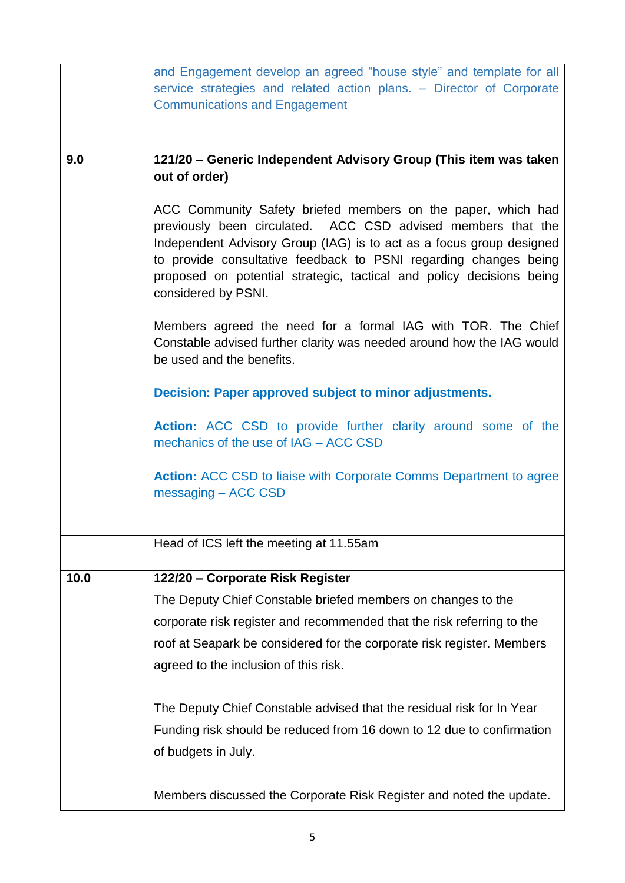|      | and Engagement develop an agreed "house style" and template for all                                                                                                                                                                                                                                                                                                     |
|------|-------------------------------------------------------------------------------------------------------------------------------------------------------------------------------------------------------------------------------------------------------------------------------------------------------------------------------------------------------------------------|
|      | service strategies and related action plans. - Director of Corporate                                                                                                                                                                                                                                                                                                    |
|      | <b>Communications and Engagement</b>                                                                                                                                                                                                                                                                                                                                    |
|      |                                                                                                                                                                                                                                                                                                                                                                         |
| 9.0  | 121/20 - Generic Independent Advisory Group (This item was taken                                                                                                                                                                                                                                                                                                        |
|      | out of order)                                                                                                                                                                                                                                                                                                                                                           |
|      | ACC Community Safety briefed members on the paper, which had<br>previously been circulated. ACC CSD advised members that the<br>Independent Advisory Group (IAG) is to act as a focus group designed<br>to provide consultative feedback to PSNI regarding changes being<br>proposed on potential strategic, tactical and policy decisions being<br>considered by PSNI. |
|      | Members agreed the need for a formal IAG with TOR. The Chief<br>Constable advised further clarity was needed around how the IAG would<br>be used and the benefits.                                                                                                                                                                                                      |
|      | Decision: Paper approved subject to minor adjustments.                                                                                                                                                                                                                                                                                                                  |
|      | Action: ACC CSD to provide further clarity around some of the<br>mechanics of the use of IAG - ACC CSD                                                                                                                                                                                                                                                                  |
|      | <b>Action:</b> ACC CSD to liaise with Corporate Comms Department to agree<br>messaging - ACC CSD                                                                                                                                                                                                                                                                        |
|      | Head of ICS left the meeting at 11.55am                                                                                                                                                                                                                                                                                                                                 |
|      |                                                                                                                                                                                                                                                                                                                                                                         |
| 10.0 | 122/20 - Corporate Risk Register                                                                                                                                                                                                                                                                                                                                        |
|      | The Deputy Chief Constable briefed members on changes to the                                                                                                                                                                                                                                                                                                            |
|      | corporate risk register and recommended that the risk referring to the                                                                                                                                                                                                                                                                                                  |
|      | roof at Seapark be considered for the corporate risk register. Members                                                                                                                                                                                                                                                                                                  |
|      | agreed to the inclusion of this risk.                                                                                                                                                                                                                                                                                                                                   |
|      | The Deputy Chief Constable advised that the residual risk for In Year                                                                                                                                                                                                                                                                                                   |
|      | Funding risk should be reduced from 16 down to 12 due to confirmation                                                                                                                                                                                                                                                                                                   |
|      | of budgets in July.                                                                                                                                                                                                                                                                                                                                                     |
|      | Members discussed the Corporate Risk Register and noted the update.                                                                                                                                                                                                                                                                                                     |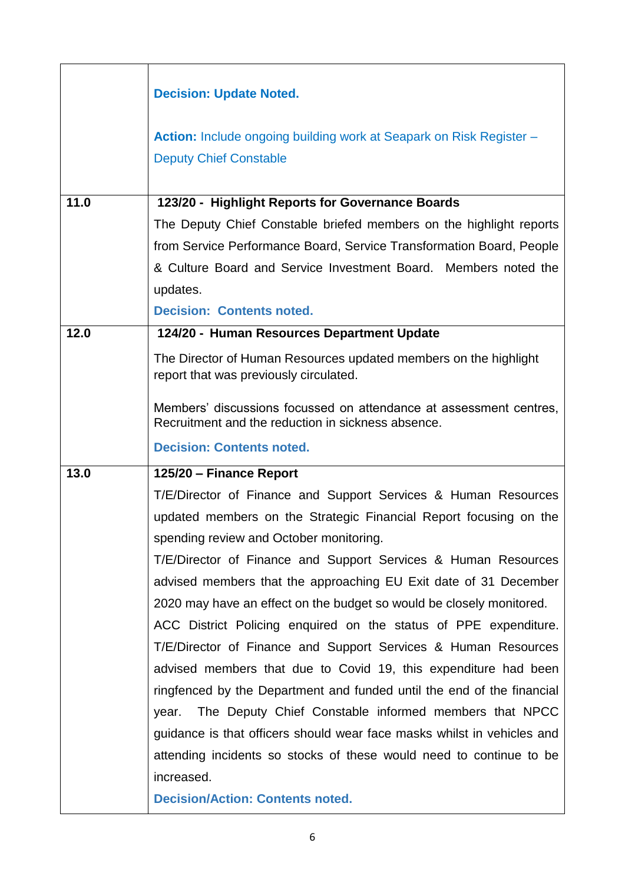|      | <b>Decision: Update Noted.</b>                                                                                           |
|------|--------------------------------------------------------------------------------------------------------------------------|
|      |                                                                                                                          |
|      | Action: Include ongoing building work at Seapark on Risk Register -                                                      |
|      | <b>Deputy Chief Constable</b>                                                                                            |
|      |                                                                                                                          |
| 11.0 | 123/20 - Highlight Reports for Governance Boards                                                                         |
|      | The Deputy Chief Constable briefed members on the highlight reports                                                      |
|      | from Service Performance Board, Service Transformation Board, People                                                     |
|      | & Culture Board and Service Investment Board. Members noted the                                                          |
|      | updates.                                                                                                                 |
|      | <b>Decision: Contents noted.</b>                                                                                         |
| 12.0 | 124/20 - Human Resources Department Update                                                                               |
|      | The Director of Human Resources updated members on the highlight<br>report that was previously circulated.               |
|      | Members' discussions focussed on attendance at assessment centres,<br>Recruitment and the reduction in sickness absence. |
|      |                                                                                                                          |
|      | <b>Decision: Contents noted.</b>                                                                                         |
| 13.0 | 125/20 - Finance Report                                                                                                  |
|      | T/E/Director of Finance and Support Services & Human Resources                                                           |
|      | updated members on the Strategic Financial Report focusing on the                                                        |
|      | spending review and October monitoring.                                                                                  |
|      | T/E/Director of Finance and Support Services & Human Resources                                                           |
|      | advised members that the approaching EU Exit date of 31 December                                                         |
|      | 2020 may have an effect on the budget so would be closely monitored.                                                     |
|      | ACC District Policing enquired on the status of PPE expenditure.                                                         |
|      | T/E/Director of Finance and Support Services & Human Resources                                                           |
|      | advised members that due to Covid 19, this expenditure had been                                                          |
|      | ringfenced by the Department and funded until the end of the financial                                                   |
|      | year. The Deputy Chief Constable informed members that NPCC                                                              |
|      | guidance is that officers should wear face masks whilst in vehicles and                                                  |
|      | attending incidents so stocks of these would need to continue to be                                                      |
|      | increased.                                                                                                               |